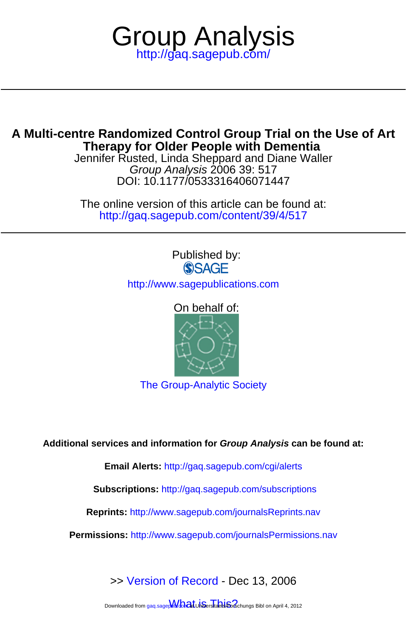

# **Therapy for Older People with Dementia A Multi-centre Randomized Control Group Trial on the Use of Art**

DOI: 10.1177/0533316406071447 Group Analysis 2006 39: 517 Jennifer Rusted, Linda Sheppard and Diane Waller

<http://gaq.sagepub.com/content/39/4/517> The online version of this article can be found at:

# Published by:<br>
SAGE

<http://www.sagepublications.com>

# On behalf of:



[The Group-Analytic Society](http://www.groupanalyticsociety.co.uk)

**Additional services and information for Group Analysis can be found at:**

**Email Alerts:** <http://gaq.sagepub.com/cgi/alerts>

**Subscriptions:** <http://gaq.sagepub.com/subscriptions>

**Reprints:** <http://www.sagepub.com/journalsReprints.nav>

**Permissions:** <http://www.sagepub.com/journalsPermissions.nav>

>> [Version of Record -](http://gaq.sagepub.com/content/39/4/517.full.pdf) Dec 13, 2006

Downloaded from gaq.sagepMonat Universitably Sofschungs Bibl on April 4, 2012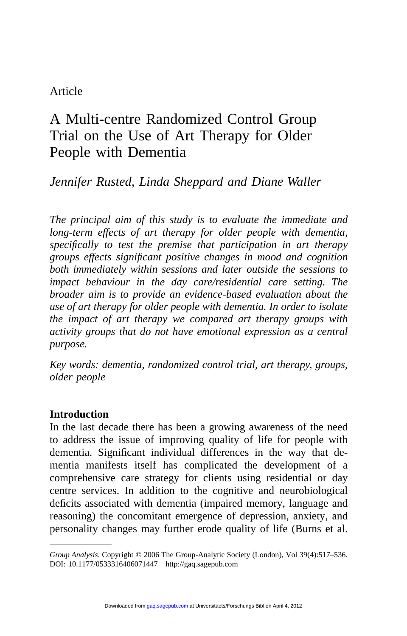# Article

# A Multi-centre Randomized Control Group Trial on the Use of Art Therapy for Older People with Dementia

# *Jennifer Rusted, Linda Sheppard and Diane Waller*

*The principal aim of this study is to evaluate the immediate and long-term effects of art therapy for older people with dementia, specifically to test the premise that participation in art therapy groups effects significant positive changes in mood and cognition both immediately within sessions and later outside the sessions to impact behaviour in the day care/residential care setting. The broader aim is to provide an evidence-based evaluation about the use of art therapy for older people with dementia. In order to isolate the impact of art therapy we compared art therapy groups with activity groups that do not have emotional expression as a central purpose.*

*Key words: dementia, randomized control trial, art therapy, groups, older people*

#### **Introduction**

In the last decade there has been a growing awareness of the need to address the issue of improving quality of life for people with dementia. Significant individual differences in the way that dementia manifests itself has complicated the development of a comprehensive care strategy for clients using residential or day centre services. In addition to the cognitive and neurobiological deficits associated with dementia (impaired memory, language and reasoning) the concomitant emergence of depression, anxiety, and personality changes may further erode quality of life (Burns et al.

*Group Analysis*. Copyright © 2006 The Group-Analytic Society (London), Vol 39(4):517–536. DOI: 10.1177/0533316406071447 http://gaq.sagepub.com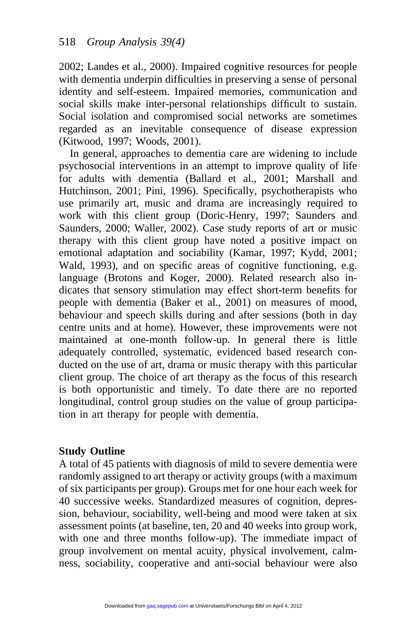2002; Landes et al., 2000). Impaired cognitive resources for people with dementia underpin difficulties in preserving a sense of personal identity and self-esteem. Impaired memories, communication and social skills make inter-personal relationships difficult to sustain. Social isolation and compromised social networks are sometimes regarded as an inevitable consequence of disease expression (Kitwood, 1997; Woods, 2001).

In general, approaches to dementia care are widening to include psychosocial interventions in an attempt to improve quality of life for adults with dementia (Ballard et al., 2001; Marshall and Hutchinson, 2001; Pini, 1996). Specifically, psychotherapists who use primarily art, music and drama are increasingly required to work with this client group (Doric-Henry, 1997; Saunders and Saunders, 2000; Waller, 2002). Case study reports of art or music therapy with this client group have noted a positive impact on emotional adaptation and sociability (Kamar, 1997; Kydd, 2001; Wald, 1993), and on specific areas of cognitive functioning, e.g. language (Brotons and Koger, 2000). Related research also indicates that sensory stimulation may effect short-term benefits for people with dementia (Baker et al., 2001) on measures of mood, behaviour and speech skills during and after sessions (both in day centre units and at home). However, these improvements were not maintained at one-month follow-up. In general there is little adequately controlled, systematic, evidenced based research conducted on the use of art, drama or music therapy with this particular client group. The choice of art therapy as the focus of this research is both opportunistic and timely. To date there are no reported longitudinal, control group studies on the value of group participation in art therapy for people with dementia.

#### **Study Outline**

A total of 45 patients with diagnosis of mild to severe dementia were randomly assigned to art therapy or activity groups (with a maximum of six participants per group). Groups met for one hour each week for 40 successive weeks. Standardized measures of cognition, depression, behaviour, sociability, well-being and mood were taken at six assessment points (at baseline, ten, 20 and 40 weeks into group work, with one and three months follow-up). The immediate impact of group involvement on mental acuity, physical involvement, calmness, sociability, cooperative and anti-social behaviour were also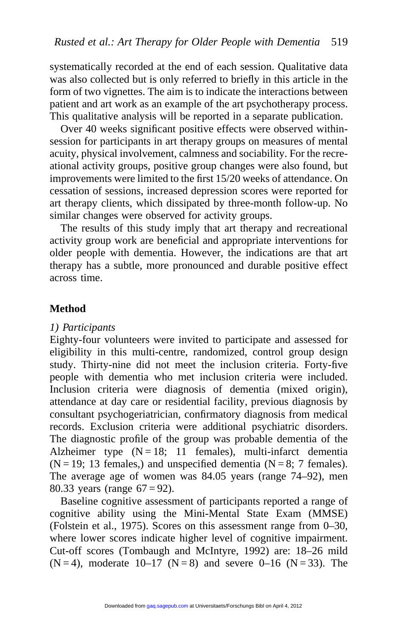systematically recorded at the end of each session. Qualitative data was also collected but is only referred to briefly in this article in the form of two vignettes. The aim is to indicate the interactions between patient and art work as an example of the art psychotherapy process. This qualitative analysis will be reported in a separate publication.

Over 40 weeks significant positive effects were observed withinsession for participants in art therapy groups on measures of mental acuity, physical involvement, calmness and sociability. For the recreational activity groups, positive group changes were also found, but improvements were limited to the first 15/20 weeks of attendance. On cessation of sessions, increased depression scores were reported for art therapy clients, which dissipated by three-month follow-up. No similar changes were observed for activity groups.

The results of this study imply that art therapy and recreational activity group work are beneficial and appropriate interventions for older people with dementia. However, the indications are that art therapy has a subtle, more pronounced and durable positive effect across time.

#### **Method**

#### *1) Participants*

Eighty-four volunteers were invited to participate and assessed for eligibility in this multi-centre, randomized, control group design study. Thirty-nine did not meet the inclusion criteria. Forty-five people with dementia who met inclusion criteria were included. Inclusion criteria were diagnosis of dementia (mixed origin), attendance at day care or residential facility, previous diagnosis by consultant psychogeriatrician, confirmatory diagnosis from medical records. Exclusion criteria were additional psychiatric disorders. The diagnostic profile of the group was probable dementia of the Alzheimer type  $(N = 18; 11$  females), multi-infarct dementia  $(N = 19; 13$  females,) and unspecified dementia  $(N = 8; 7$  females). The average age of women was 84.05 years (range 74–92), men 80.33 years (range  $67 = 92$ ).

Baseline cognitive assessment of participants reported a range of cognitive ability using the Mini-Mental State Exam (MMSE) (Folstein et al., 1975). Scores on this assessment range from 0–30, where lower scores indicate higher level of cognitive impairment. Cut-off scores (Tombaugh and McIntyre, 1992) are: 18–26 mild  $(N = 4)$ , moderate 10–17  $(N = 8)$  and severe 0–16  $(N = 33)$ . The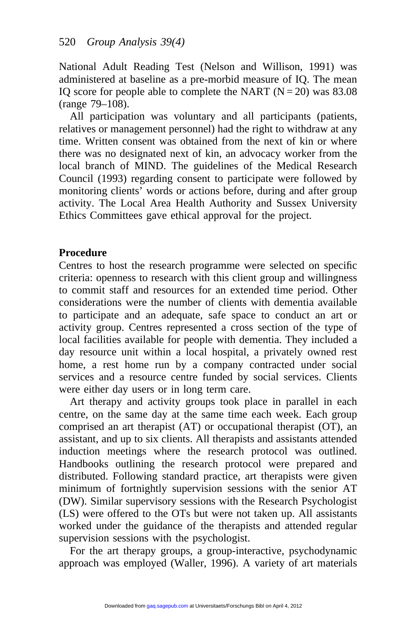National Adult Reading Test (Nelson and Willison, 1991) was administered at baseline as a pre-morbid measure of IQ. The mean IQ score for people able to complete the NART  $(N = 20)$  was 83.08 (range 79–108).

All participation was voluntary and all participants (patients, relatives or management personnel) had the right to withdraw at any time. Written consent was obtained from the next of kin or where there was no designated next of kin, an advocacy worker from the local branch of MIND. The guidelines of the Medical Research Council (1993) regarding consent to participate were followed by monitoring clients' words or actions before, during and after group activity. The Local Area Health Authority and Sussex University Ethics Committees gave ethical approval for the project.

#### **Procedure**

Centres to host the research programme were selected on specific criteria: openness to research with this client group and willingness to commit staff and resources for an extended time period. Other considerations were the number of clients with dementia available to participate and an adequate, safe space to conduct an art or activity group. Centres represented a cross section of the type of local facilities available for people with dementia. They included a day resource unit within a local hospital, a privately owned rest home, a rest home run by a company contracted under social services and a resource centre funded by social services. Clients were either day users or in long term care.

Art therapy and activity groups took place in parallel in each centre, on the same day at the same time each week. Each group comprised an art therapist (AT) or occupational therapist (OT), an assistant, and up to six clients. All therapists and assistants attended induction meetings where the research protocol was outlined. Handbooks outlining the research protocol were prepared and distributed. Following standard practice, art therapists were given minimum of fortnightly supervision sessions with the senior AT (DW). Similar supervisory sessions with the Research Psychologist (LS) were offered to the OTs but were not taken up. All assistants worked under the guidance of the therapists and attended regular supervision sessions with the psychologist.

For the art therapy groups, a group-interactive, psychodynamic approach was employed (Waller, 1996). A variety of art materials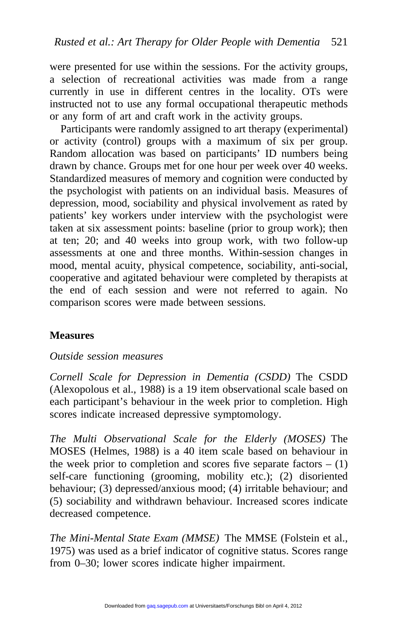were presented for use within the sessions. For the activity groups, a selection of recreational activities was made from a range currently in use in different centres in the locality. OTs were instructed not to use any formal occupational therapeutic methods or any form of art and craft work in the activity groups.

Participants were randomly assigned to art therapy (experimental) or activity (control) groups with a maximum of six per group. Random allocation was based on participants' ID numbers being drawn by chance. Groups met for one hour per week over 40 weeks. Standardized measures of memory and cognition were conducted by the psychologist with patients on an individual basis. Measures of depression, mood, sociability and physical involvement as rated by patients' key workers under interview with the psychologist were taken at six assessment points: baseline (prior to group work); then at ten; 20; and 40 weeks into group work, with two follow-up assessments at one and three months. Within-session changes in mood, mental acuity, physical competence, sociability, anti-social, cooperative and agitated behaviour were completed by therapists at the end of each session and were not referred to again. No comparison scores were made between sessions.

# **Measures**

#### *Outside session measures*

*Cornell Scale for Depression in Dementia (CSDD)* The CSDD (Alexopolous et al., 1988) is a 19 item observational scale based on each participant's behaviour in the week prior to completion. High scores indicate increased depressive symptomology.

*The Multi Observational Scale for the Elderly (MOSES)* The MOSES (Helmes, 1988) is a 40 item scale based on behaviour in the week prior to completion and scores five separate factors  $- (1)$ self-care functioning (grooming, mobility etc.); (2) disoriented behaviour; (3) depressed/anxious mood; (4) irritable behaviour; and (5) sociability and withdrawn behaviour. Increased scores indicate decreased competence.

*The Mini-Mental State Exam (MMSE)* The MMSE (Folstein et al., 1975) was used as a brief indicator of cognitive status. Scores range from 0–30; lower scores indicate higher impairment.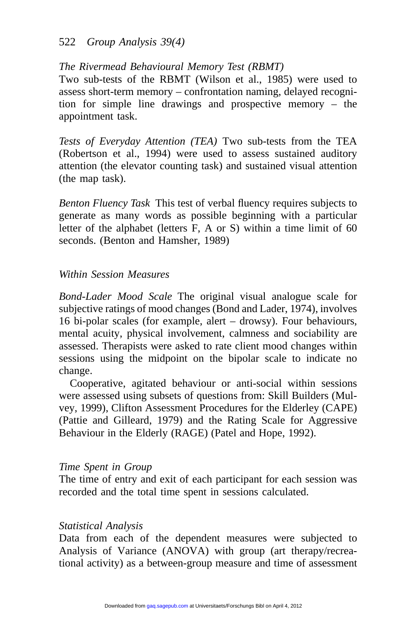#### 522 *Group Analysis 39(4)*

#### *The Rivermead Behavioural Memory Test (RBMT)*

Two sub-tests of the RBMT (Wilson et al., 1985) were used to assess short-term memory – confrontation naming, delayed recognition for simple line drawings and prospective memory – the appointment task.

*Tests of Everyday Attention (TEA)* Two sub-tests from the TEA (Robertson et al., 1994) were used to assess sustained auditory attention (the elevator counting task) and sustained visual attention (the map task).

*Benton Fluency Task* This test of verbal fluency requires subjects to generate as many words as possible beginning with a particular letter of the alphabet (letters F, A or S) within a time limit of 60 seconds. (Benton and Hamsher, 1989)

#### *Within Session Measures*

*Bond-Lader Mood Scale* The original visual analogue scale for subjective ratings of mood changes (Bond and Lader, 1974), involves 16 bi-polar scales (for example, alert – drowsy). Four behaviours, mental acuity, physical involvement, calmness and sociability are assessed. Therapists were asked to rate client mood changes within sessions using the midpoint on the bipolar scale to indicate no change.

Cooperative, agitated behaviour or anti-social within sessions were assessed using subsets of questions from: Skill Builders (Mulvey, 1999), Clifton Assessment Procedures for the Elderley (CAPE) (Pattie and Gilleard, 1979) and the Rating Scale for Aggressive Behaviour in the Elderly (RAGE) (Patel and Hope, 1992).

#### *Time Spent in Group*

The time of entry and exit of each participant for each session was recorded and the total time spent in sessions calculated.

#### *Statistical Analysis*

Data from each of the dependent measures were subjected to Analysis of Variance (ANOVA) with group (art therapy/recreational activity) as a between-group measure and time of assessment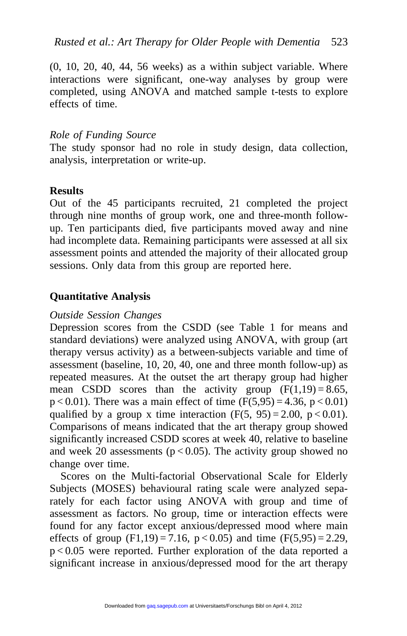(0, 10, 20, 40, 44, 56 weeks) as a within subject variable. Where interactions were significant, one-way analyses by group were completed, using ANOVA and matched sample t-tests to explore effects of time.

#### *Role of Funding Source*

The study sponsor had no role in study design, data collection, analysis, interpretation or write-up.

#### **Results**

Out of the 45 participants recruited, 21 completed the project through nine months of group work, one and three-month followup. Ten participants died, five participants moved away and nine had incomplete data. Remaining participants were assessed at all six assessment points and attended the majority of their allocated group sessions. Only data from this group are reported here.

### **Quantitative Analysis**

#### *Outside Session Changes*

Depression scores from the CSDD (see Table 1 for means and standard deviations) were analyzed using ANOVA, with group (art therapy versus activity) as a between-subjects variable and time of assessment (baseline, 10, 20, 40, one and three month follow-up) as repeated measures. At the outset the art therapy group had higher mean CSDD scores than the activity group  $(F(1,19) = 8.65)$ ,  $p < 0.01$ ). There was a main effect of time (F(5,95) = 4.36, p < 0.01) qualified by a group x time interaction  $(F(5, 95) = 2.00, p < 0.01)$ . Comparisons of means indicated that the art therapy group showed significantly increased CSDD scores at week 40, relative to baseline and week 20 assessments ( $p < 0.05$ ). The activity group showed no change over time.

Scores on the Multi-factorial Observational Scale for Elderly Subjects (MOSES) behavioural rating scale were analyzed separately for each factor using ANOVA with group and time of assessment as factors. No group, time or interaction effects were found for any factor except anxious/depressed mood where main effects of group  $(F1,19) = 7.16$ ,  $p < 0.05$ ) and time  $(F(5,95) = 2.29$ , p < 0.05 were reported. Further exploration of the data reported a significant increase in anxious/depressed mood for the art therapy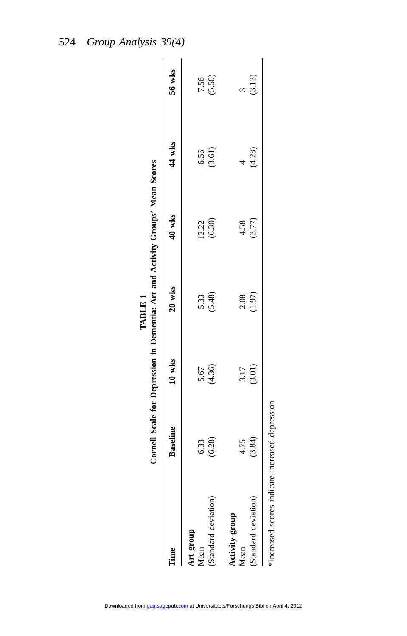|                                                 |                    |                |                       | Cornell Scale for Depression in Dementia: Art and Activity Groups' Mean Scores |                    |        |
|-------------------------------------------------|--------------------|----------------|-----------------------|--------------------------------------------------------------------------------|--------------------|--------|
| Time                                            | <b>Baseline</b>    | $10$ wks       | $20$ wks              | 40 wks                                                                         | 44 wks             | 56 wks |
| Art group<br>Mean                               |                    |                |                       |                                                                                |                    | 7.56   |
| (Standard deviation)                            | $6.33$<br>$(6.28)$ | 5.67<br>(4.36) | 5.33<br>(5.48)        | $12.22$<br>(6.30)                                                              | $6.56$<br>$(3.61)$ | (5.50) |
| Activity group<br>Mean                          | 4.75               | 3.17           |                       | 4.58                                                                           |                    |        |
| (Standard deviation)                            | (3.84)             | (3.01)         | $\frac{2.08}{(1.97)}$ | (3.77)                                                                         | (4.28)             | (3.13) |
| *Increased scores indicate increased depression |                    |                |                       |                                                                                |                    |        |

**TABLE 1**

TABLE 1

Downloaded from [gaq.sagepub.com](http://gaq.sagepub.com/) at Universitaets/Forschungs Bibl on April 4, 2012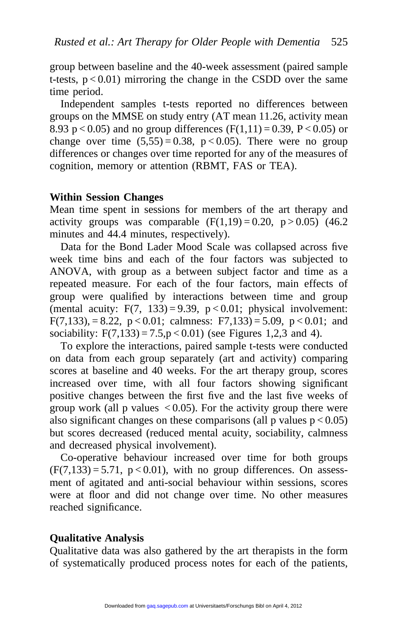group between baseline and the 40-week assessment (paired sample t-tests,  $p < 0.01$ ) mirroring the change in the CSDD over the same time period.

Independent samples t-tests reported no differences between groups on the MMSE on study entry (AT mean 11.26, activity mean 8.93 p < 0.05) and no group differences ( $F(1,11) = 0.39$ ,  $P < 0.05$ ) or change over time  $(5,55) = 0.38$ ,  $p < 0.05$ ). There were no group differences or changes over time reported for any of the measures of cognition, memory or attention (RBMT, FAS or TEA).

#### **Within Session Changes**

Mean time spent in sessions for members of the art therapy and activity groups was comparable  $(F(1,19) = 0.20, p > 0.05)$  (46.2) minutes and 44.4 minutes, respectively).

Data for the Bond Lader Mood Scale was collapsed across five week time bins and each of the four factors was subjected to ANOVA, with group as a between subject factor and time as a repeated measure. For each of the four factors, main effects of group were qualified by interactions between time and group (mental acuity:  $F(7, 133) = 9.39$ ,  $p < 0.01$ ; physical involvement: F(7,133), = 8.22, p < 0.01; calmness: F7,133) = 5.09, p < 0.01; and sociability:  $F(7,133) = 7.5, p < 0.01$  (see Figures 1,2,3 and 4).

To explore the interactions, paired sample t-tests were conducted on data from each group separately (art and activity) comparing scores at baseline and 40 weeks. For the art therapy group, scores increased over time, with all four factors showing significant positive changes between the first five and the last five weeks of group work (all p values  $\langle 0.05 \rangle$ ). For the activity group there were also significant changes on these comparisons (all p values  $p < 0.05$ ) but scores decreased (reduced mental acuity, sociability, calmness and decreased physical involvement).

Co-operative behaviour increased over time for both groups  $(F(7,133) = 5.71, p < 0.01)$ , with no group differences. On assessment of agitated and anti-social behaviour within sessions, scores were at floor and did not change over time. No other measures reached significance.

#### **Qualitative Analysis**

Qualitative data was also gathered by the art therapists in the form of systematically produced process notes for each of the patients,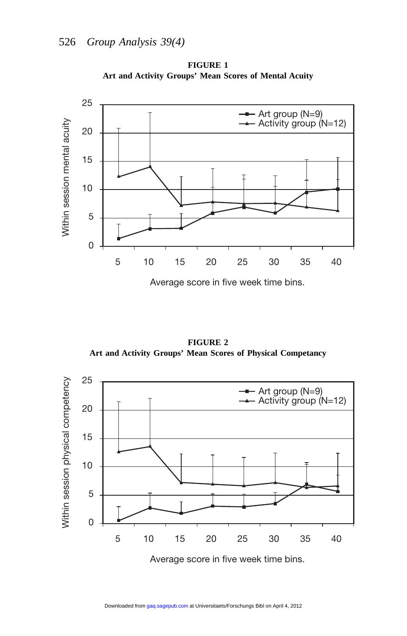

**FIGURE 1 Art and Activity Groups' Mean Scores of Mental Acuity**

Average score in five week time bins.

**FIGURE 2 Art and Activity Groups' Mean Scores of Physical Competancy**

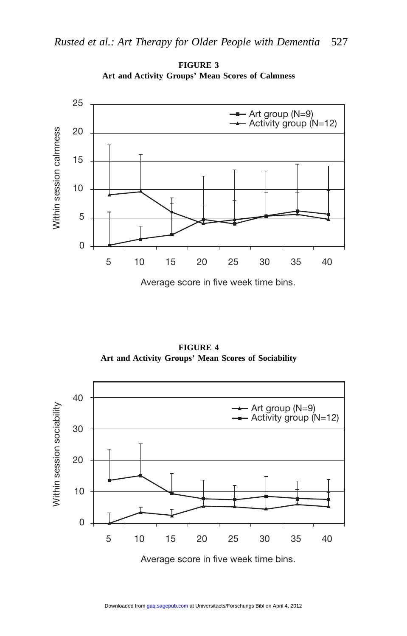

**FIGURE 3 Art and Activity Groups' Mean Scores of Calmness**

Average score in five week time bins.

**FIGURE 4 Art and Activity Groups' Mean Scores of Sociability**

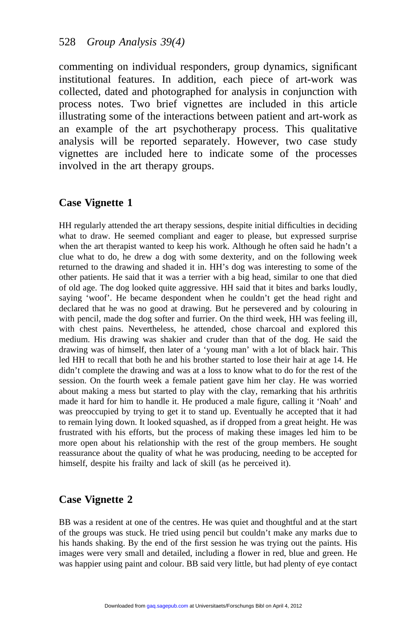commenting on individual responders, group dynamics, significant institutional features. In addition, each piece of art-work was collected, dated and photographed for analysis in conjunction with process notes. Two brief vignettes are included in this article illustrating some of the interactions between patient and art-work as an example of the art psychotherapy process. This qualitative analysis will be reported separately. However, two case study vignettes are included here to indicate some of the processes involved in the art therapy groups.

#### **Case Vignette 1**

HH regularly attended the art therapy sessions, despite initial difficulties in deciding what to draw. He seemed compliant and eager to please, but expressed surprise when the art therapist wanted to keep his work. Although he often said he hadn't a clue what to do, he drew a dog with some dexterity, and on the following week returned to the drawing and shaded it in. HH's dog was interesting to some of the other patients. He said that it was a terrier with a big head, similar to one that died of old age. The dog looked quite aggressive. HH said that it bites and barks loudly, saying 'woof'. He became despondent when he couldn't get the head right and declared that he was no good at drawing. But he persevered and by colouring in with pencil, made the dog softer and furrier. On the third week, HH was feeling ill, with chest pains. Nevertheless, he attended, chose charcoal and explored this medium. His drawing was shakier and cruder than that of the dog. He said the drawing was of himself, then later of a 'young man' with a lot of black hair. This led HH to recall that both he and his brother started to lose their hair at age 14. He didn't complete the drawing and was at a loss to know what to do for the rest of the session. On the fourth week a female patient gave him her clay. He was worried about making a mess but started to play with the clay, remarking that his arthritis made it hard for him to handle it. He produced a male figure, calling it 'Noah' and was preoccupied by trying to get it to stand up. Eventually he accepted that it had to remain lying down. It looked squashed, as if dropped from a great height. He was frustrated with his efforts, but the process of making these images led him to be more open about his relationship with the rest of the group members. He sought reassurance about the quality of what he was producing, needing to be accepted for himself, despite his frailty and lack of skill (as he perceived it).

#### **Case Vignette 2**

BB was a resident at one of the centres. He was quiet and thoughtful and at the start of the groups was stuck. He tried using pencil but couldn't make any marks due to his hands shaking. By the end of the first session he was trying out the paints. His images were very small and detailed, including a flower in red, blue and green. He was happier using paint and colour. BB said very little, but had plenty of eye contact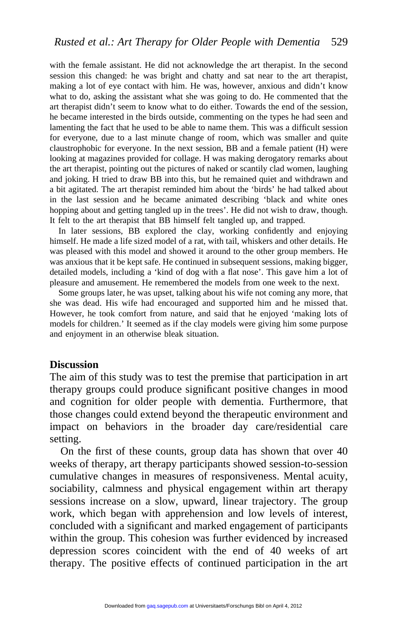with the female assistant. He did not acknowledge the art therapist. In the second session this changed: he was bright and chatty and sat near to the art therapist, making a lot of eye contact with him. He was, however, anxious and didn't know what to do, asking the assistant what she was going to do. He commented that the art therapist didn't seem to know what to do either. Towards the end of the session, he became interested in the birds outside, commenting on the types he had seen and lamenting the fact that he used to be able to name them. This was a difficult session for everyone, due to a last minute change of room, which was smaller and quite claustrophobic for everyone. In the next session, BB and a female patient (H) were looking at magazines provided for collage. H was making derogatory remarks about the art therapist, pointing out the pictures of naked or scantily clad women, laughing and joking. H tried to draw BB into this, but he remained quiet and withdrawn and a bit agitated. The art therapist reminded him about the 'birds' he had talked about in the last session and he became animated describing 'black and white ones hopping about and getting tangled up in the trees'. He did not wish to draw, though. It felt to the art therapist that BB himself felt tangled up, and trapped.

In later sessions, BB explored the clay, working confidently and enjoying himself. He made a life sized model of a rat, with tail, whiskers and other details. He was pleased with this model and showed it around to the other group members. He was anxious that it be kept safe. He continued in subsequent sessions, making bigger, detailed models, including a 'kind of dog with a flat nose'. This gave him a lot of pleasure and amusement. He remembered the models from one week to the next.

Some groups later, he was upset, talking about his wife not coming any more, that she was dead. His wife had encouraged and supported him and he missed that. However, he took comfort from nature, and said that he enjoyed 'making lots of models for children.' It seemed as if the clay models were giving him some purpose and enjoyment in an otherwise bleak situation.

#### **Discussion**

The aim of this study was to test the premise that participation in art therapy groups could produce significant positive changes in mood and cognition for older people with dementia. Furthermore, that those changes could extend beyond the therapeutic environment and impact on behaviors in the broader day care/residential care setting.

On the first of these counts, group data has shown that over 40 weeks of therapy, art therapy participants showed session-to-session cumulative changes in measures of responsiveness. Mental acuity, sociability, calmness and physical engagement within art therapy sessions increase on a slow, upward, linear trajectory. The group work, which began with apprehension and low levels of interest, concluded with a significant and marked engagement of participants within the group. This cohesion was further evidenced by increased depression scores coincident with the end of 40 weeks of art therapy. The positive effects of continued participation in the art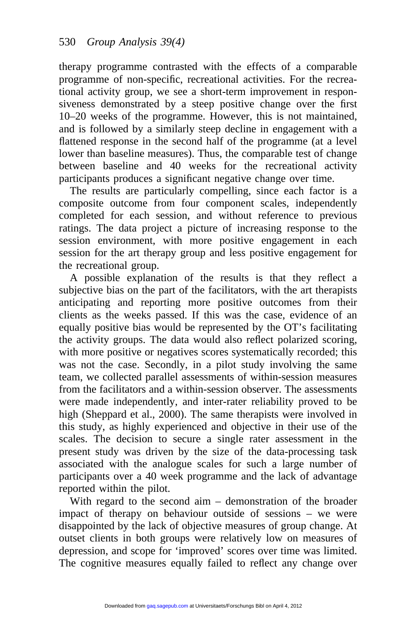therapy programme contrasted with the effects of a comparable programme of non-specific, recreational activities. For the recreational activity group, we see a short-term improvement in responsiveness demonstrated by a steep positive change over the first 10–20 weeks of the programme. However, this is not maintained, and is followed by a similarly steep decline in engagement with a flattened response in the second half of the programme (at a level lower than baseline measures). Thus, the comparable test of change between baseline and 40 weeks for the recreational activity participants produces a significant negative change over time.

The results are particularly compelling, since each factor is a composite outcome from four component scales, independently completed for each session, and without reference to previous ratings. The data project a picture of increasing response to the session environment, with more positive engagement in each session for the art therapy group and less positive engagement for the recreational group.

A possible explanation of the results is that they reflect a subjective bias on the part of the facilitators, with the art therapists anticipating and reporting more positive outcomes from their clients as the weeks passed. If this was the case, evidence of an equally positive bias would be represented by the OT's facilitating the activity groups. The data would also reflect polarized scoring, with more positive or negatives scores systematically recorded; this was not the case. Secondly, in a pilot study involving the same team, we collected parallel assessments of within-session measures from the facilitators and a within-session observer. The assessments were made independently, and inter-rater reliability proved to be high (Sheppard et al., 2000). The same therapists were involved in this study, as highly experienced and objective in their use of the scales. The decision to secure a single rater assessment in the present study was driven by the size of the data-processing task associated with the analogue scales for such a large number of participants over a 40 week programme and the lack of advantage reported within the pilot.

With regard to the second aim – demonstration of the broader impact of therapy on behaviour outside of sessions – we were disappointed by the lack of objective measures of group change. At outset clients in both groups were relatively low on measures of depression, and scope for 'improved' scores over time was limited. The cognitive measures equally failed to reflect any change over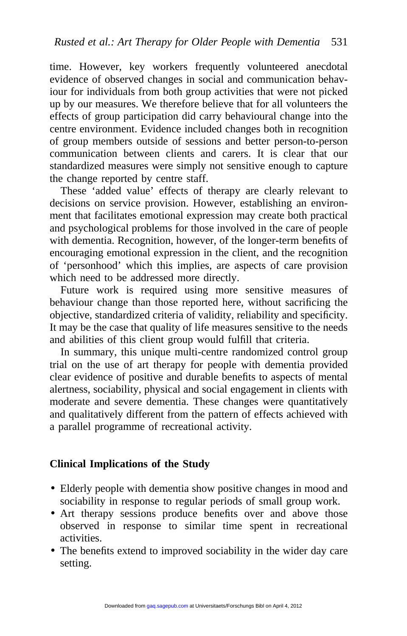time. However, key workers frequently volunteered anecdotal evidence of observed changes in social and communication behaviour for individuals from both group activities that were not picked up by our measures. We therefore believe that for all volunteers the effects of group participation did carry behavioural change into the centre environment. Evidence included changes both in recognition of group members outside of sessions and better person-to-person communication between clients and carers. It is clear that our standardized measures were simply not sensitive enough to capture the change reported by centre staff.

These 'added value' effects of therapy are clearly relevant to decisions on service provision. However, establishing an environment that facilitates emotional expression may create both practical and psychological problems for those involved in the care of people with dementia. Recognition, however, of the longer-term benefits of encouraging emotional expression in the client, and the recognition of 'personhood' which this implies, are aspects of care provision which need to be addressed more directly.

Future work is required using more sensitive measures of behaviour change than those reported here, without sacrificing the objective, standardized criteria of validity, reliability and specificity. It may be the case that quality of life measures sensitive to the needs and abilities of this client group would fulfill that criteria.

In summary, this unique multi-centre randomized control group trial on the use of art therapy for people with dementia provided clear evidence of positive and durable benefits to aspects of mental alertness, sociability, physical and social engagement in clients with moderate and severe dementia. These changes were quantitatively and qualitatively different from the pattern of effects achieved with a parallel programme of recreational activity.

#### **Clinical Implications of the Study**

- Elderly people with dementia show positive changes in mood and sociability in response to regular periods of small group work.
- Art therapy sessions produce benefits over and above those observed in response to similar time spent in recreational activities.
- The benefits extend to improved sociability in the wider day care setting.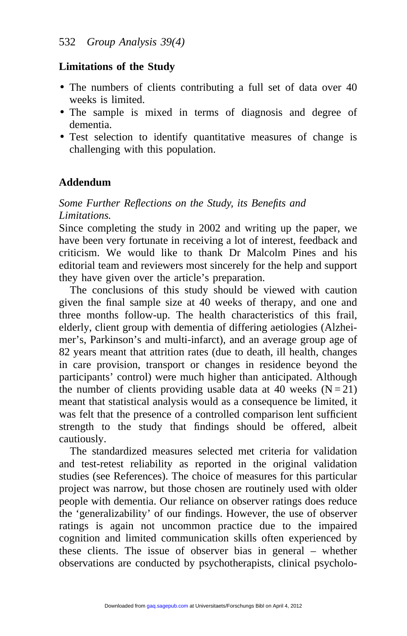### **Limitations of the Study**

- The numbers of clients contributing a full set of data over 40 weeks is limited.
- The sample is mixed in terms of diagnosis and degree of dementia.
- Test selection to identify quantitative measures of change is challenging with this population.

# **Addendum**

# *Some Further Reflections on the Study, its Benefits and Limitations.*

Since completing the study in 2002 and writing up the paper, we have been very fortunate in receiving a lot of interest, feedback and criticism. We would like to thank Dr Malcolm Pines and his editorial team and reviewers most sincerely for the help and support they have given over the article's preparation.

The conclusions of this study should be viewed with caution given the final sample size at 40 weeks of therapy, and one and three months follow-up. The health characteristics of this frail, elderly, client group with dementia of differing aetiologies (Alzheimer's, Parkinson's and multi-infarct), and an average group age of 82 years meant that attrition rates (due to death, ill health, changes in care provision, transport or changes in residence beyond the participants' control) were much higher than anticipated. Although the number of clients providing usable data at 40 weeks  $(N = 21)$ meant that statistical analysis would as a consequence be limited, it was felt that the presence of a controlled comparison lent sufficient strength to the study that findings should be offered, albeit cautiously.

The standardized measures selected met criteria for validation and test-retest reliability as reported in the original validation studies (see References). The choice of measures for this particular project was narrow, but those chosen are routinely used with older people with dementia. Our reliance on observer ratings does reduce the 'generalizability' of our findings. However, the use of observer ratings is again not uncommon practice due to the impaired cognition and limited communication skills often experienced by these clients. The issue of observer bias in general – whether observations are conducted by psychotherapists, clinical psycholo-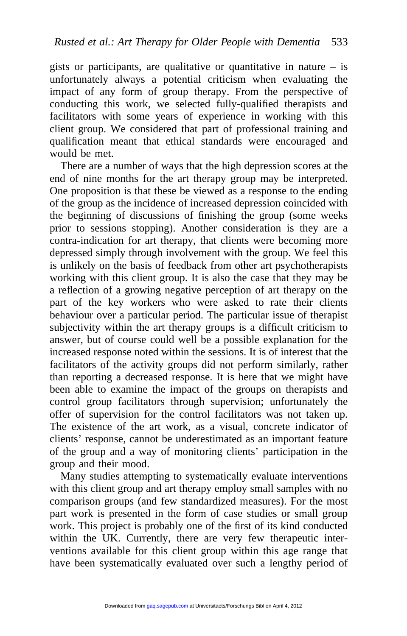gists or participants, are qualitative or quantitative in nature  $-$  is unfortunately always a potential criticism when evaluating the impact of any form of group therapy. From the perspective of conducting this work, we selected fully-qualified therapists and facilitators with some years of experience in working with this client group. We considered that part of professional training and qualification meant that ethical standards were encouraged and would be met.

There are a number of ways that the high depression scores at the end of nine months for the art therapy group may be interpreted. One proposition is that these be viewed as a response to the ending of the group as the incidence of increased depression coincided with the beginning of discussions of finishing the group (some weeks prior to sessions stopping). Another consideration is they are a contra-indication for art therapy, that clients were becoming more depressed simply through involvement with the group. We feel this is unlikely on the basis of feedback from other art psychotherapists working with this client group. It is also the case that they may be a reflection of a growing negative perception of art therapy on the part of the key workers who were asked to rate their clients behaviour over a particular period. The particular issue of therapist subjectivity within the art therapy groups is a difficult criticism to answer, but of course could well be a possible explanation for the increased response noted within the sessions. It is of interest that the facilitators of the activity groups did not perform similarly, rather than reporting a decreased response. It is here that we might have been able to examine the impact of the groups on therapists and control group facilitators through supervision; unfortunately the offer of supervision for the control facilitators was not taken up. The existence of the art work, as a visual, concrete indicator of clients' response, cannot be underestimated as an important feature of the group and a way of monitoring clients' participation in the group and their mood.

Many studies attempting to systematically evaluate interventions with this client group and art therapy employ small samples with no comparison groups (and few standardized measures). For the most part work is presented in the form of case studies or small group work. This project is probably one of the first of its kind conducted within the UK. Currently, there are very few therapeutic interventions available for this client group within this age range that have been systematically evaluated over such a lengthy period of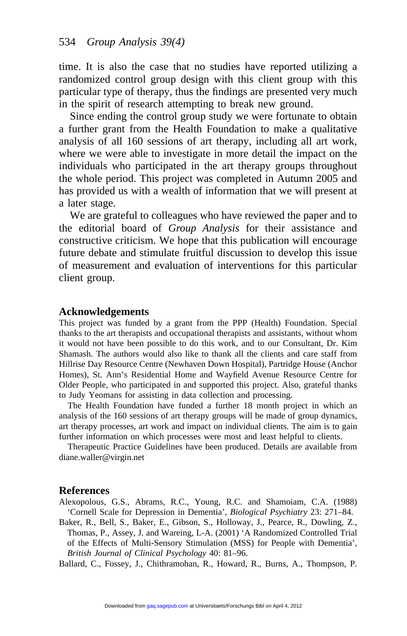time. It is also the case that no studies have reported utilizing a randomized control group design with this client group with this particular type of therapy, thus the findings are presented very much in the spirit of research attempting to break new ground.

Since ending the control group study we were fortunate to obtain a further grant from the Health Foundation to make a qualitative analysis of all 160 sessions of art therapy, including all art work, where we were able to investigate in more detail the impact on the individuals who participated in the art therapy groups throughout the whole period. This project was completed in Autumn 2005 and has provided us with a wealth of information that we will present at a later stage.

We are grateful to colleagues who have reviewed the paper and to the editorial board of *Group Analysis* for their assistance and constructive criticism. We hope that this publication will encourage future debate and stimulate fruitful discussion to develop this issue of measurement and evaluation of interventions for this particular client group.

#### **Acknowledgements**

This project was funded by a grant from the PPP (Health) Foundation. Special thanks to the art therapists and occupational therapists and assistants, without whom it would not have been possible to do this work, and to our Consultant, Dr. Kim Shamash. The authors would also like to thank all the clients and care staff from Hillrise Day Resource Centre (Newhaven Down Hospital), Partridge House (Anchor Homes), St. Ann's Residential Home and Wayfield Avenue Resource Centre for Older People, who participated in and supported this project. Also, grateful thanks to Judy Yeomans for assisting in data collection and processing.

The Health Foundation have funded a further 18 month project in which an analysis of the 160 sessions of art therapy groups will be made of group dynamics, art therapy processes, art work and impact on individual clients. The aim is to gain further information on which processes were most and least helpful to clients.

Therapeutic Practice Guidelines have been produced. Details are available from diane.waller@virgin.net

#### **References**

Alexopolous, G.S., Abrams, R.C., Young, R.C. and Shamoiam, C.A. (1988) 'Cornell Scale for Depression in Dementia', *Biological Psychiatry* 23: 271–84.

Baker, R., Bell, S., Baker, E., Gibson, S., Holloway, J., Pearce, R., Dowling, Z., Thomas, P., Assey, J. and Wareing, L-A. (2001) 'A Randomized Controlled Trial of the Effects of Multi-Sensory Stimulation (MSS) for People with Dementia', *British Journal of Clinical Psychology* 40: 81–96.

Ballard, C., Fossey, J., Chithramohan, R., Howard, R., Burns, A., Thompson, P.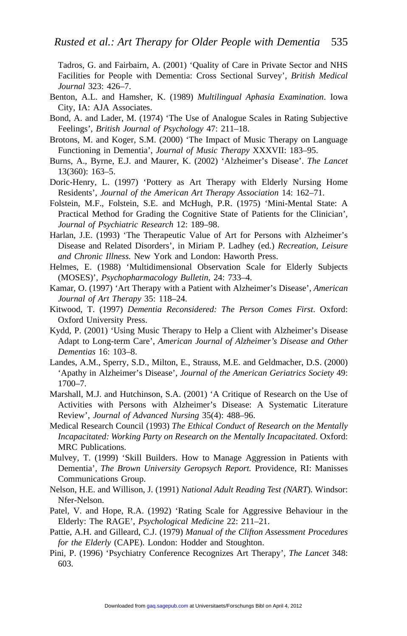Tadros, G. and Fairbairn, A. (2001) 'Quality of Care in Private Sector and NHS Facilities for People with Dementia: Cross Sectional Survey', *British Medical Journal* 323: 426–7.

- Benton, A.L. and Hamsher, K. (1989) *Multilingual Aphasia Examination*. Iowa City, IA: AJA Associates.
- Bond, A. and Lader, M. (1974) 'The Use of Analogue Scales in Rating Subjective Feelings', *British Journal of Psychology* 47: 211–18.
- Brotons, M. and Koger, S.M. (2000) 'The Impact of Music Therapy on Language Functioning in Dementia', *Journal of Music Therapy* XXXVII: 183–95.
- Burns, A., Byrne, E.J. and Maurer, K. (2002) 'Alzheimer's Disease'. *The Lancet* 13(360): 163–5.
- Doric-Henry, L. (1997) 'Pottery as Art Therapy with Elderly Nursing Home Residents', *Journal of the American Art Therapy Association* 14: 162–71.
- Folstein, M.F., Folstein, S.E. and McHugh, P.R. (1975) 'Mini-Mental State: A Practical Method for Grading the Cognitive State of Patients for the Clinician', *Journal of Psychiatric Research* 12: 189–98.
- Harlan, J.E. (1993) 'The Therapeutic Value of Art for Persons with Alzheimer's Disease and Related Disorders', in Miriam P. Ladhey (ed.) *Recreation, Leisure and Chronic Illness.* New York and London: Haworth Press.
- Helmes, E. (1988) 'Multidimensional Observation Scale for Elderly Subjects (MOSES)', *Psychopharmacology Bulletin*, 24: 733–4.
- Kamar, O. (1997) 'Art Therapy with a Patient with Alzheimer's Disease', *American Journal of Art Therapy* 35: 118–24.
- Kitwood, T. (1997) *Dementia Reconsidered: The Person Comes First*. Oxford: Oxford University Press.
- Kydd, P. (2001) 'Using Music Therapy to Help a Client with Alzheimer's Disease Adapt to Long-term Care', *American Journal of Alzheimer's Disease and Other Dementias* 16: 103–8.
- Landes, A.M., Sperry, S.D., Milton, E., Strauss, M.E. and Geldmacher, D.S. (2000) 'Apathy in Alzheimer's Disease', *Journal of the American Geriatrics Society* 49: 1700–7.
- Marshall, M.J. and Hutchinson, S.A. (2001) 'A Critique of Research on the Use of Activities with Persons with Alzheimer's Disease: A Systematic Literature Review', *Journal of Advanced Nursing* 35(4): 488–96.
- Medical Research Council (1993) *The Ethical Conduct of Research on the Mentally Incapacitated: Working Party on Research on the Mentally Incapacitated.* Oxford: MRC Publications.
- Mulvey, T. (1999) 'Skill Builders. How to Manage Aggression in Patients with Dementia', *The Brown University Geropsych Report.* Providence, RI: Manisses Communications Group.
- Nelson, H.E. and Willison, J. (1991) *National Adult Reading Test (NART*). Windsor: Nfer-Nelson.
- Patel, V. and Hope, R.A. (1992) 'Rating Scale for Aggressive Behaviour in the Elderly: The RAGE', *Psychological Medicine* 22: 211–21.
- Pattie, A.H. and Gilleard, C.J. (1979) *Manual of the Clifton Assessment Procedures for the Elderly* (CAPE). London: Hodder and Stoughton.
- Pini, P. (1996) 'Psychiatry Conference Recognizes Art Therapy', *The Lancet* 348: 603.